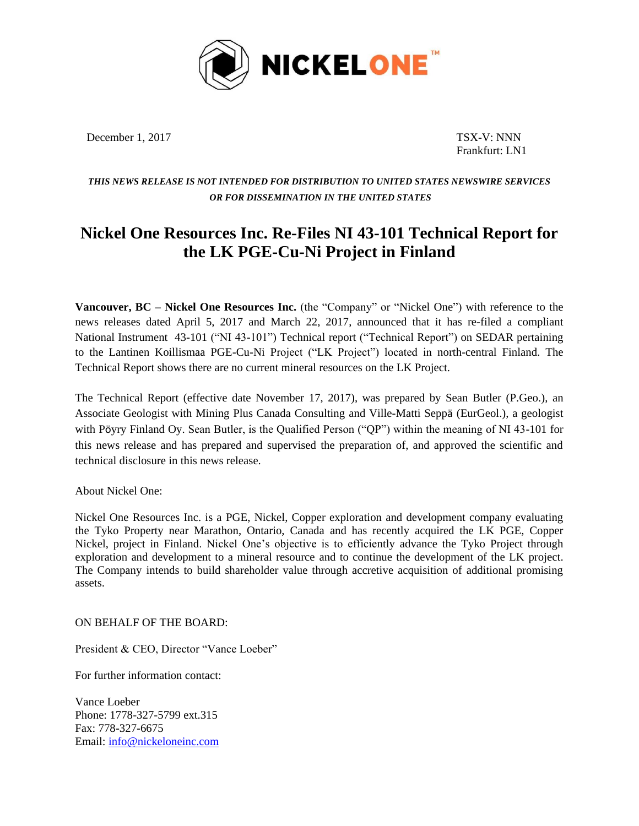

December 1, 2017 TSX-V: NNN

Frankfurt: LN1

## *THIS NEWS RELEASE IS NOT INTENDED FOR DISTRIBUTION TO UNITED STATES NEWSWIRE SERVICES OR FOR DISSEMINATION IN THE UNITED STATES*

## **Nickel One Resources Inc. Re-Files NI 43-101 Technical Report for the LK PGE-Cu-Ni Project in Finland**

**Vancouver, BC – Nickel One Resources Inc.** (the "Company" or "Nickel One") with reference to the news releases dated April 5, 2017 and March 22, 2017, announced that it has re-filed a compliant National Instrument 43-101 ("NI 43-101") Technical report ("Technical Report") on SEDAR pertaining to the Lantinen Koillismaa PGE-Cu-Ni Project ("LK Project") located in north-central Finland. The Technical Report shows there are no current mineral resources on the LK Project.

The Technical Report (effective date November 17, 2017), was prepared by Sean Butler (P.Geo.), an Associate Geologist with Mining Plus Canada Consulting and Ville-Matti Seppä (EurGeol.), a geologist with Pöyry Finland Oy. Sean Butler, is the Qualified Person ("QP") within the meaning of NI 43-101 for this news release and has prepared and supervised the preparation of, and approved the scientific and technical disclosure in this news release.

About Nickel One:

Nickel One Resources Inc. is a PGE, Nickel, Copper exploration and development company evaluating the Tyko Property near Marathon, Ontario, Canada and has recently acquired the LK PGE, Copper Nickel, project in Finland. Nickel One's objective is to efficiently advance the Tyko Project through exploration and development to a mineral resource and to continue the development of the LK project. The Company intends to build shareholder value through accretive acquisition of additional promising assets.

ON BEHALF OF THE BOARD:

President & CEO, Director "Vance Loeber"

For further information contact:

Vance Loeber Phone: 1778-327-5799 ext.315 Fax: 778-327-6675 Email: [info@nickeloneinc.com](mailto:info@nickeloneinc.com)